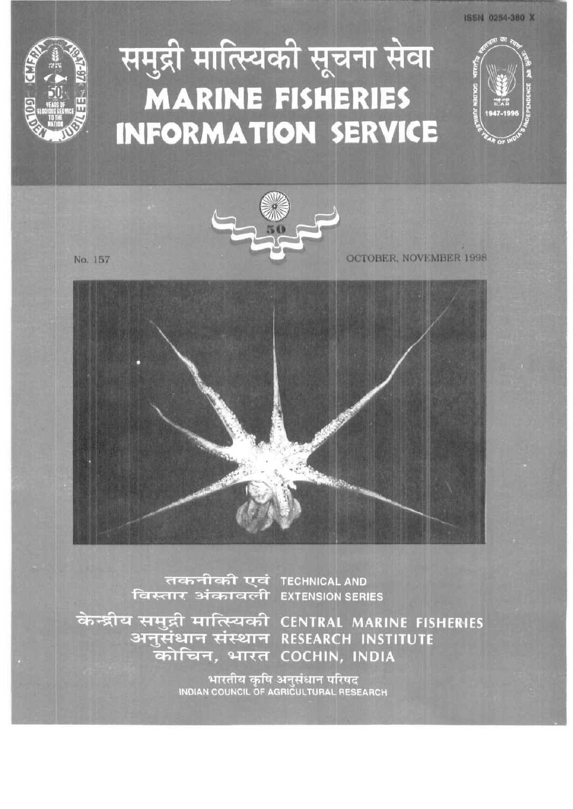

## समुद्री मात्स्यिकी सूचना सेवा **MARINE FISHERIES INFORMATION SERVICE**



No. 157

OCTOBER, NOVEMBER 1998



तकनीकी एवं TECHNICAL AND <u>विस्तार अंकावली EXTENSION SERIES</u>

केन्द्रीय समुद्री मात्स्यिकी CENTRAL MARINE FISHERIES अनुसंधान संस्थान RESEARCH INSTITUTE कोचिन, भारत COCHIN, INDIA

भारतीय कृषि अनुसंधान परिषद<br>INDIAN COUNCIL OF AGRICULTURAL RESEARCH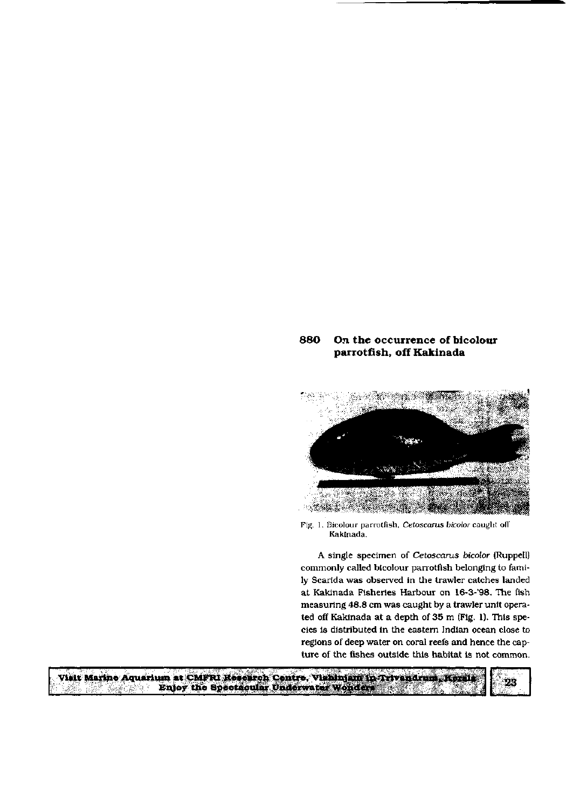## 880 On the occurrence of bicolour parrotfish, off Kakinada



Fig. 1. Bicolour parrotfish, Cetoscarus bicolor caught off Kakinada.

A single specimen of Cetoscarus bicolor (Ruppell) commonly called bicolour parrotfish belonging to family Scarida was observed in the trawler catches landed at Kakinada Fisheries Harbour on 16-3-'98. The fish measuring 48.8 cm was caught by a trawler unit operated off Kakinada at a depth of 35 m (Fig. 1). This species is distributed in the eastern Indian ocean close to regions of deep water on coral reefs and hence the capture of the fishes outside this habitat is not common.

Visit Marine Aquarium at CMPRI Research Centre. Vishinjam in Trivandrum, Kersis Enjoy the Spectacular Underwater Wonders  $\label{eq:3.1} \frac{1}{2} \log \frac{1}{\delta} \left( \sum_{i=1}^n \sum_{j=1}^{n} \frac{1}{\delta_{ij}} \right) \leq \frac{1}{2} \sum_{i=1}^n \sum_{j=1}^{n} \frac{1}{\delta_{ij}} \sum_{j=1}^{n} \frac{1}{\delta_{ij}} \sum_{j=1}^{n} \frac{1}{\delta_{ij}} \sum_{j=1}^{n} \frac{1}{\delta_{ij}} \sum_{j=1}^{n} \frac{1}{\delta_{ij}} \sum_{j=1}^{n} \frac{1}{\delta_{ij}} \sum_{j=1}^{n} \frac{1}{\delta_{ij}}$ 

23